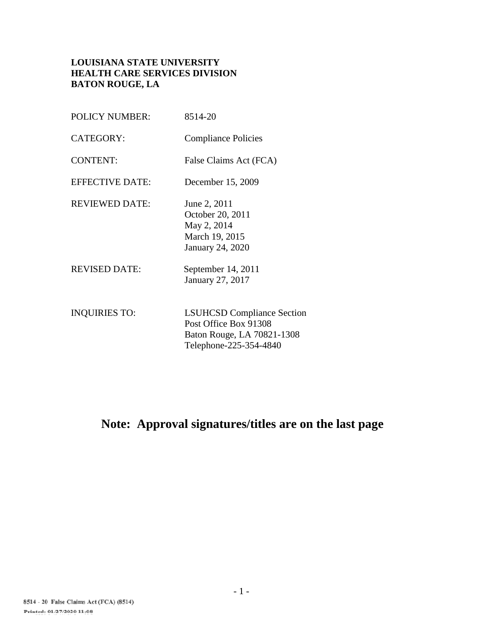# **LOUISIANA STATE UNIVERSITY HEALTH CARE SERVICES DIVISION BATON ROUGE, LA**

| <b>POLICY NUMBER:</b>  | 8514-20                                                                                                            |
|------------------------|--------------------------------------------------------------------------------------------------------------------|
| <b>CATEGORY:</b>       | <b>Compliance Policies</b>                                                                                         |
| <b>CONTENT:</b>        | False Claims Act (FCA)                                                                                             |
| <b>EFFECTIVE DATE:</b> | December 15, 2009                                                                                                  |
| <b>REVIEWED DATE:</b>  | June 2, 2011<br>October 20, 2011<br>May 2, 2014<br>March 19, 2015<br>January 24, 2020                              |
| <b>REVISED DATE:</b>   | September 14, 2011<br>January 27, 2017                                                                             |
| <b>INQUIRIES TO:</b>   | <b>LSUHCSD Compliance Section</b><br>Post Office Box 91308<br>Baton Rouge, LA 70821-1308<br>Telephone-225-354-4840 |

# **Note: Approval signatures/titles are on the last page**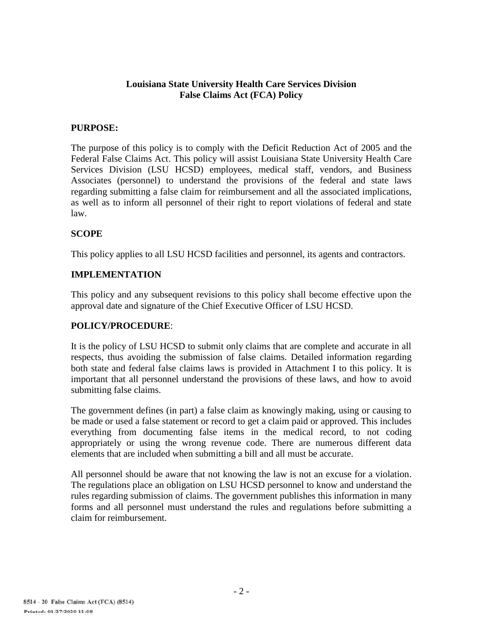#### **Louisiana State University Health Care Services Division False Claims Act (FCA) Policy**

## **PURPOSE:**

The purpose of this policy is to comply with the Deficit Reduction Act of 2005 and the Federal False Claims Act. This policy will assist Louisiana State University Health Care Services Division (LSU HCSD) employees, medical staff, vendors, and Business Associates (personnel) to understand the provisions of the federal and state laws regarding submitting a false claim for reimbursement and all the associated implications, as well as to inform all personnel of their right to report violations of federal and state law.

## **SCOPE**

This policy applies to all LSU HCSD facilities and personnel, its agents and contractors.

#### **IMPLEMENTATION**

This policy and any subsequent revisions to this policy shall become effective upon the approval date and signature of the Chief Executive Officer of LSU HCSD.

#### **POLICY/PROCEDURE**:

It is the policy of LSU HCSD to submit only claims that are complete and accurate in all respects, thus avoiding the submission of false claims. Detailed information regarding both state and federal false claims laws is provided in Attachment I to this policy. It is important that all personnel understand the provisions of these laws, and how to avoid submitting false claims.

The government defines (in part) a false claim as knowingly making, using or causing to be made or used a false statement or record to get a claim paid or approved. This includes everything from documenting false items in the medical record, to not coding appropriately or using the wrong revenue code. There are numerous different data elements that are included when submitting a bill and all must be accurate.

All personnel should be aware that not knowing the law is not an excuse for a violation. The regulations place an obligation on LSU HCSD personnel to know and understand the rules regarding submission of claims. The government publishes this information in many forms and all personnel must understand the rules and regulations before submitting a claim for reimbursement.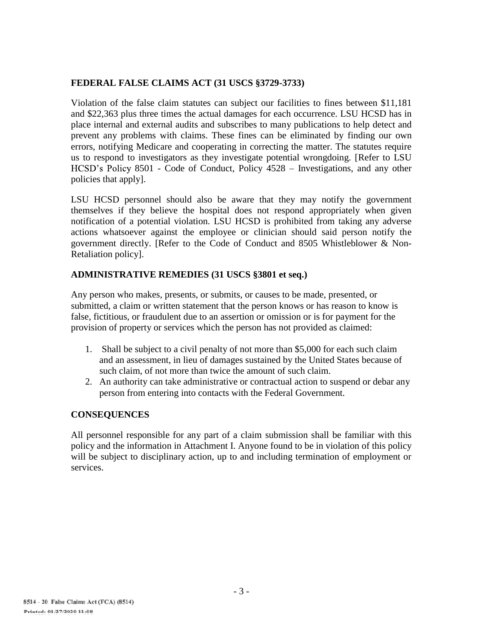# **FEDERAL FALSE CLAIMS ACT (31 USCS §3729-3733)**

Violation of the false claim statutes can subject our facilities to fines between \$11,181 and \$22,363 plus three times the actual damages for each occurrence. LSU HCSD has in place internal and external audits and subscribes to many publications to help detect and prevent any problems with claims. These fines can be eliminated by finding our own errors, notifying Medicare and cooperating in correcting the matter. The statutes require us to respond to investigators as they investigate potential wrongdoing. [Refer to LSU HCSD's Policy 8501 - Code of Conduct, Policy 4528 - Investigations, and any other policies that apply].

LSU HCSD personnel should also be aware that they may notify the government themselves if they believe the hospital does not respond appropriately when given notification of a potential violation. LSU HCSD is prohibited from taking any adverse actions whatsoever against the employee or clinician should said person notify the government directly. [Refer to the Code of Conduct and 8505 Whistleblower & Non-Retaliation policy].

# **ADMINISTRATIVE REMEDIES (31 USCS §3801 et seq.)**

Any person who makes, presents, or submits, or causes to be made, presented, or submitted, a claim or written statement that the person knows or has reason to know is false, fictitious, or fraudulent due to an assertion or omission or is for payment for the provision of property or services which the person has not provided as claimed:

- 1. Shall be subject to a civil penalty of not more than \$5,000 for each such claim and an assessment, in lieu of damages sustained by the United States because of such claim, of not more than twice the amount of such claim.
- 2. An authority can take administrative or contractual action to suspend or debar any person from entering into contacts with the Federal Government.

# **CONSEQUENCES**

All personnel responsible for any part of a claim submission shall be familiar with this policy and the information in Attachment I. Anyone found to be in violation of this policy will be subject to disciplinary action, up to and including termination of employment or services.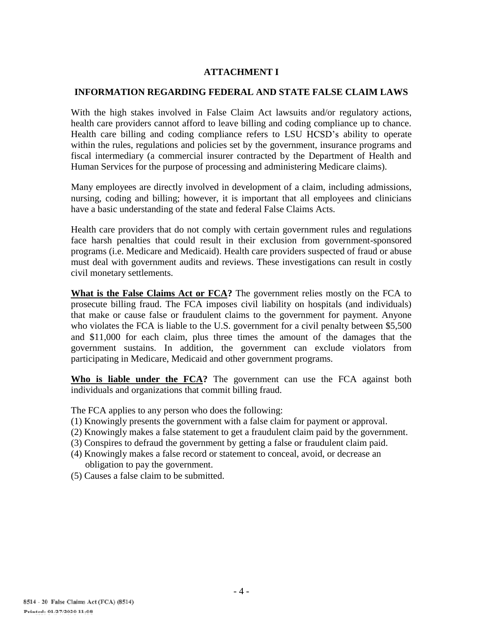## **ATTACHMENT I**

#### **INFORMATION REGARDING FEDERAL AND STATE FALSE CLAIM LAWS**

With the high stakes involved in False Claim Act lawsuits and/or regulatory actions, health care providers cannot afford to leave billing and coding compliance up to chance. Health care billing and coding compliance refers to LSU HCSD's ability to operate within the rules, regulations and policies set by the government, insurance programs and fiscal intermediary (a commercial insurer contracted by the Department of Health and Human Services for the purpose of processing and administering Medicare claims).

Many employees are directly involved in development of a claim, including admissions, nursing, coding and billing; however, it is important that all employees and clinicians have a basic understanding of the state and federal False Claims Acts.

Health care providers that do not comply with certain government rules and regulations face harsh penalties that could result in their exclusion from government-sponsored programs (i.e. Medicare and Medicaid). Health care providers suspected of fraud or abuse must deal with government audits and reviews. These investigations can result in costly civil monetary settlements.

**What is the False Claims Act or FCA?** The government relies mostly on the FCA to prosecute billing fraud. The FCA imposes civil liability on hospitals (and individuals) that make or cause false or fraudulent claims to the government for payment. Anyone who violates the FCA is liable to the U.S. government for a civil penalty between \$5,500 and \$11,000 for each claim, plus three times the amount of the damages that the government sustains. In addition, the government can exclude violators from participating in Medicare, Medicaid and other government programs.

**Who is liable under the FCA?** The government can use the FCA against both individuals and organizations that commit billing fraud.

The FCA applies to any person who does the following:

- (1) Knowingly presents the government with a false claim for payment or approval.
- (2) Knowingly makes a false statement to get a fraudulent claim paid by the government.
- (3) Conspires to defraud the government by getting a false or fraudulent claim paid.
- (4) Knowingly makes a false record or statement to conceal, avoid, or decrease an obligation to pay the government.
- (5) Causes a false claim to be submitted.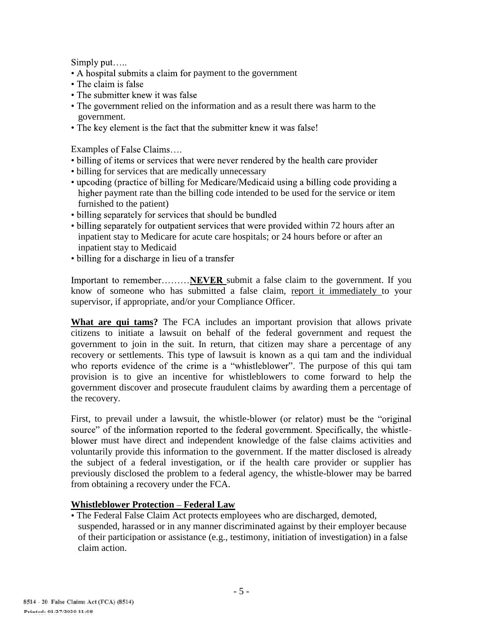Simply put.....

- A hospital submits a claim for payment to the government
- The claim is false
- The submitter knew it was false
- The government relied on the information and as a result there was harm to the government.
- The key element is the fact that the submitter knew it was false!

Examples of False Claims....

- billing of items or services that were never rendered by the health care provider
- billing for services that are medically unnecessary
- upcoding (practice of billing for Medicare/Medicaid using a billing code providing a higher payment rate than the billing code intended to be used for the service or item furnished to the patient)
- billing separately for services that should be bundled
- billing separately for outpatient services that were provided within 72 hours after an inpatient stay to Medicare for acute care hospitals; or 24 hours before or after an inpatient stay to Medicaid<br>• billing for a discharge in lieu of a transfer
- 

Important to remember.........NEVER submit a false claim to the government. If you know of someone who has submitted a false claim, report it immediately to your supervisor, if appropriate, and/or your Compliance Officer.

**What are qui tams?** The FCA includes an important provision that allows private citizens to initiate a lawsuit on behalf of the federal government and request the government to join in the suit. In return, that citizen may share a percentage of any recovery or settlements. This type of lawsuit is known as a qui tam and the individual who reports evidence of the crime is a "whistleblower". The purpose of this qui tam provision is to give an incentive for whistleblowers to come forward to help the government discover and prosecute fraudulent claims by awarding them a percentage of the recovery.

First, to prevail under a lawsuit, the whistle-blower (or relator) must be the "original source" of the information reported to the federal government. Specifically, the whistlemust have direct and independent knowledge of the false claims activities and voluntarily provide this information to the government. If the matter disclosed is already the subject of a federal investigation, or if the health care provider or supplier has previously disclosed the problem to a federal agency, the whistle-blower may be barred from obtaining a recovery under the FCA.

# **Whistleblower Protection Federal Law**

- The Federal False Claim Act protects employees who are discharged, demoted, suspended, harassed or in any manner discriminated against by their employer because
- of their participation or assistance (e.g., testimony, initiation of investigation) in a false claim action.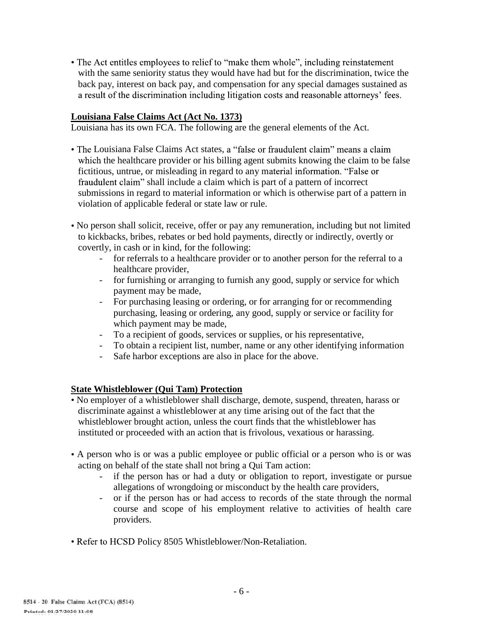• The Act entitles employees to relief to "make them whole", including reinstatement with the same seniority status they would have had but for the discrimination, twice the back pay, interest on back pay, and compensation for any special damages sustained as a result of the discrimination including litigation costs and reasonable attorneys' fees.

#### **Louisiana False Claims Act (Act No. 1373)**

Louisiana has its own FCA. The following are the general elements of the Act.

- The Louisiana False Claims Act states, a "false or fraudulent claim" means a claim which the healthcare provider or his billing agent submits knowing the claim to be false fictitious, untrue, or misleading in regard to any material information. "False or fraudulent claim" shall include a claim which is part of a pattern of incorrect submissions in regard to material information or which is otherwise part of a pattern in violation of applicable federal or state law or rule.
- No person shall solicit, receive, offer or pay any remuneration, including but not limited to kickbacks, bribes, rebates or bed hold payments, directly or indirectly, overtly or covertly, in cash or in kind, for the following:
	- for referrals to a healthcare provider or to another person for the referral to a healthcare provider,
	- for furnishing or arranging to furnish any good, supply or service for which payment may be made,
	- For purchasing leasing or ordering, or for arranging for or recommending purchasing, leasing or ordering, any good, supply or service or facility for which payment may be made,
	- To a recipient of goods, services or supplies, or his representative,
	- To obtain a recipient list, number, name or any other identifying information
	- Safe harbor exceptions are also in place for the above.

#### **State Whistleblower (Qui Tam) Protection**

- No employer of a whistleblower shall discharge, demote, suspend, threaten, harass or discriminate against a whistleblower at any time arising out of the fact that the whistleblower brought action, unless the court finds that the whistleblower has instituted or proceeded with an action that is frivolous, vexatious or harassing.
- A person who is or was a public employee or public official or a person who is or was acting on behalf of the state shall not bring a Qui Tam action:
	- if the person has or had a duty or obligation to report, investigate or pursue allegations of wrongdoing or misconduct by the health care providers,
	- or if the person has or had access to records of the state through the normal course and scope of his employment relative to activities of health care providers.
- Refer to HCSD Policy 8505 Whistleblower/Non-Retaliation.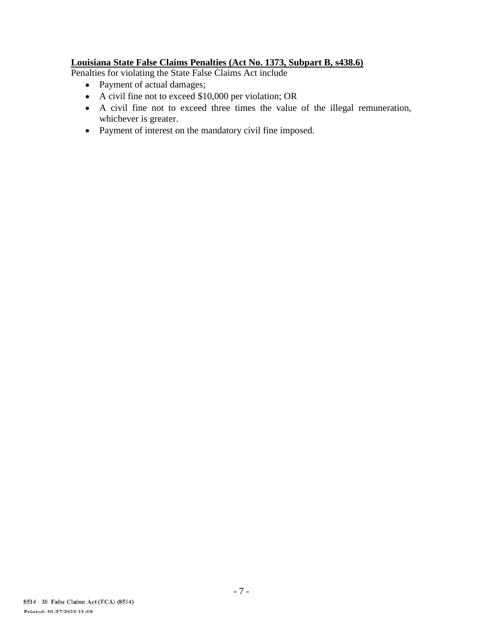## **Louisiana State False Claims Penalties (Act No. 1373, Subpart B, s438.6)**

Penalties for violating the State False Claims Act include

- Payment of actual damages;
- A civil fine not to exceed \$10,000 per violation; OR
- A civil fine not to exceed three times the value of the illegal remuneration, whichever is greater.
- Payment of interest on the mandatory civil fine imposed.